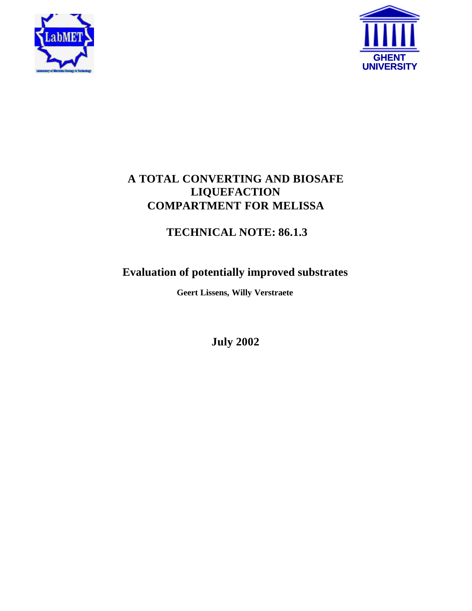



# **A TOTAL CONVERTING AND BIOSAFE LIQUEFACTION COMPARTMENT FOR MELISSA**

# **TECHNICAL NOTE: 86.1.3**

# **Evaluation of potentially improved substrates**

**Geert Lissens, Willy Verstraete**

**July 2002**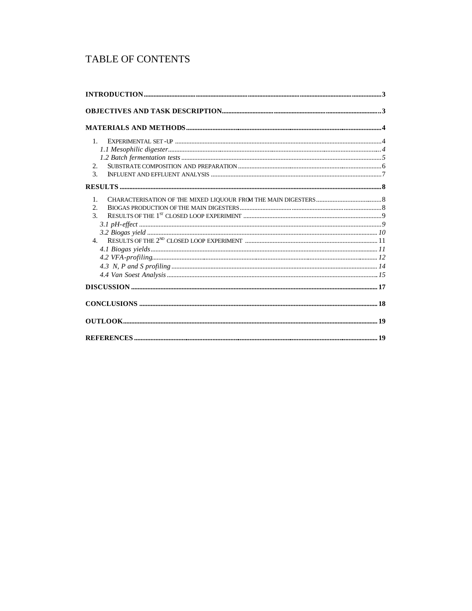# TABLE OF CONTENTS

| $1_{-}$        |  |
|----------------|--|
|                |  |
|                |  |
| 2.             |  |
| $\mathcal{F}$  |  |
|                |  |
| 1.             |  |
| 2.             |  |
| $\mathcal{R}$  |  |
|                |  |
|                |  |
| 4 <sub>1</sub> |  |
|                |  |
|                |  |
|                |  |
|                |  |
|                |  |
|                |  |
|                |  |
|                |  |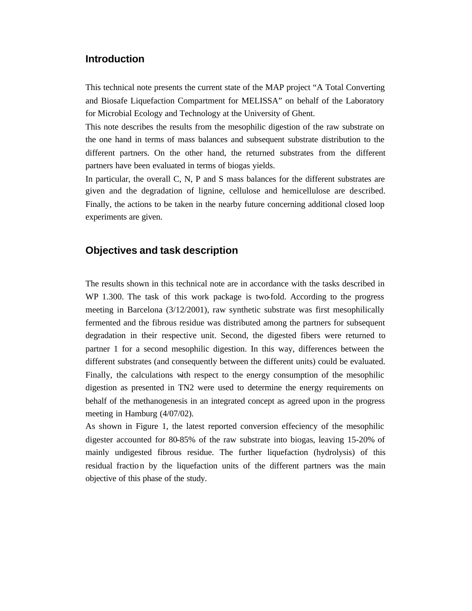# **Introduction**

This technical note presents the current state of the MAP project "A Total Converting and Biosafe Liquefaction Compartment for MELISSA" on behalf of the Laboratory for Microbial Ecology and Technology at the University of Ghent.

This note describes the results from the mesophilic digestion of the raw substrate on the one hand in terms of mass balances and subsequent substrate distribution to the different partners. On the other hand, the returned substrates from the different partners have been evaluated in terms of biogas yields.

In particular, the overall C, N, P and S mass balances for the different substrates are given and the degradation of lignine, cellulose and hemicellulose are described. Finally, the actions to be taken in the nearby future concerning additional closed loop experiments are given.

# **Objectives and task description**

The results shown in this technical note are in accordance with the tasks described in WP 1.300. The task of this work package is two-fold. According to the progress meeting in Barcelona (3/12/2001), raw synthetic substrate was first mesophilically fermented and the fibrous residue was distributed among the partners for subsequent degradation in their respective unit. Second, the digested fibers were returned to partner 1 for a second mesophilic digestion. In this way, differences between the different substrates (and consequently between the different units) could be evaluated. Finally, the calculations with respect to the energy consumption of the mesophilic digestion as presented in TN2 were used to determine the energy requirements on behalf of the methanogenesis in an integrated concept as agreed upon in the progress meeting in Hamburg (4/07/02).

As shown in Figure 1, the latest reported conversion effeciency of the mesophilic digester accounted for 80-85% of the raw substrate into biogas, leaving 15-20% of mainly undigested fibrous residue. The further liquefaction (hydrolysis) of this residual fraction by the liquefaction units of the different partners was the main objective of this phase of the study.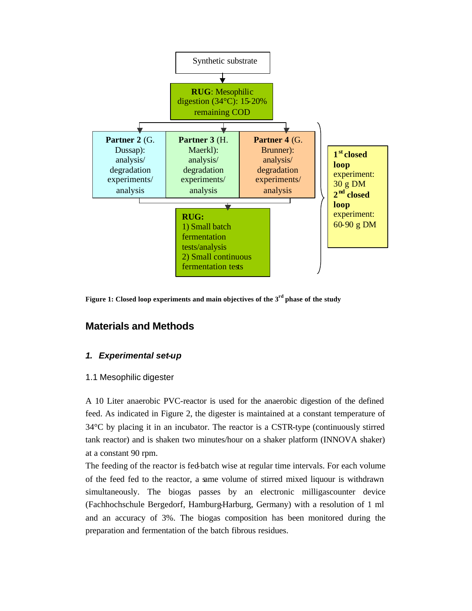

**Figure 1: Closed loop experiments and main objectives of the 3rd phase of the study**

# **Materials and Methods**

# *1. Experimental set-up*

# 1.1 Mesophilic digester

A 10 Liter anaerobic PVC-reactor is used for the anaerobic digestion of the defined feed. As indicated in Figure 2, the digester is maintained at a constant temperature of 34°C by placing it in an incubator. The reactor is a CSTR-type (continuously stirred tank reactor) and is shaken two minutes/hour on a shaker platform (INNOVA shaker) at a constant 90 rpm.

The feeding of the reactor is fed-batch wise at regular time intervals. For each volume of the feed fed to the reactor, a same volume of stirred mixed liquour is withdrawn simultaneously. The biogas passes by an electronic milligascounter device (Fachhochschule Bergedorf, Hamburg-Harburg, Germany) with a resolution of 1 ml and an accuracy of 3%. The biogas composition has been monitored during the preparation and fermentation of the batch fibrous residues.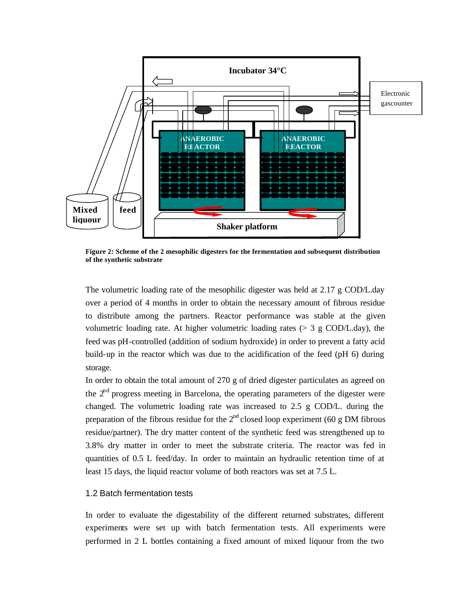

**Figure 2: Scheme of the 2 mesophilic digesters for the fermentation and subsequent distribution of the synthetic substrate**

The volumetric loading rate of the mesophilic digester was held at 2.17 g COD/L.day over a period of 4 months in order to obtain the necessary amount of fibrous residue to distribute among the partners. Reactor performance was stable at the given volumetric loading rate. At higher volumetric loading rates  $(> 3 \text{ g COD/L day})$ , the feed was pH-controlled (addition of sodium hydroxide) in order to prevent a fatty acid build-up in the reactor which was due to the acidification of the feed (pH 6) during storage.

In order to obtain the total amount of 270 g of dried digester particulates as agreed on the  $2<sup>nd</sup>$  progress meeting in Barcelona, the operating parameters of the digester were changed. The volumetric loading rate was increased to 2.5 g COD/L. during the preparation of the fibrous residue for the  $2<sup>nd</sup>$  closed loop experiment (60 g DM fibrous residue/partner). The dry matter content of the synthetic feed was strengthened up to 3.8% dry matter in order to meet the substrate criteria. The reactor was fed in quantities of 0.5 L feed/day. In order to maintain an hydraulic retention time of at least 15 days, the liquid reactor volume of both reactors was set at 7.5 L.

#### 1.2 Batch fermentation tests

In order to evaluate the digestability of the different returned substrates, different experiments were set up with batch fermentation tests. All experiments were performed in 2 L bottles containing a fixed amount of mixed liquour from the two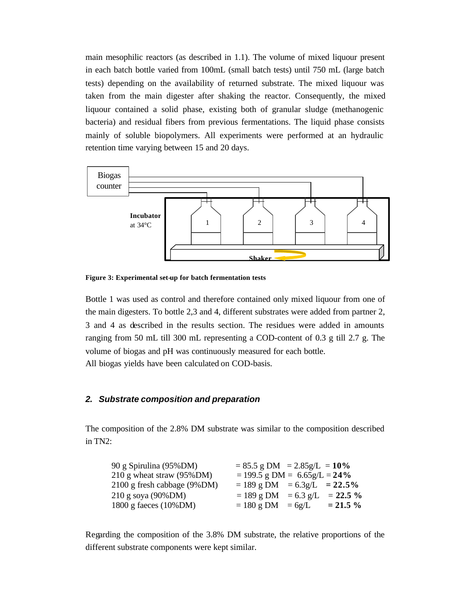main mesophilic reactors (as described in 1.1). The volume of mixed liquour present in each batch bottle varied from 100mL (small batch tests) until 750 mL (large batch tests) depending on the availability of returned substrate. The mixed liquour was taken from the main digester after shaking the reactor. Consequently, the mixed liquour contained a solid phase, existing both of granular sludge (methanogenic bacteria) and residual fibers from previous fermentations. The liquid phase consists mainly of soluble biopolymers. All experiments were performed at an hydraulic retention time varying between 15 and 20 days.



**Figure 3: Experimental set-up for batch fermentation tests**

Bottle 1 was used as control and therefore contained only mixed liquour from one of the main digesters. To bottle 2,3 and 4, different substrates were added from partner 2, 3 and 4 as described in the results section. The residues were added in amounts ranging from 50 mL till 300 mL representing a COD-content of 0.3 g till 2.7 g. The volume of biogas and pH was continuously measured for each bottle. All biogas yields have been calculated on COD-basis.

#### *2. Substrate composition and preparation*

The composition of the 2.8% DM substrate was similar to the composition described in TN2:

| 90 g Spirulina (95%DM)       | $= 85.5$ g DM $= 2.85$ g/L $= 10\%$ |             |
|------------------------------|-------------------------------------|-------------|
| 210 g wheat straw $(95\%DM)$ | $= 199.5$ g DM = 6.65g/L = 24%      |             |
| 2100 g fresh cabbage (9%DM)  | $= 189$ g DM $= 6.3$ g/L $= 22.5\%$ |             |
| $210$ g soya (90%DM)         | $= 189$ g DM $= 6.3$ g/L $= 22.5$ % |             |
| 1800 g faeces $(10\%$ DM)    | $= 180$ g DM $= 6g/L$               | $= 21.5 \%$ |

Regarding the composition of the 3.8% DM substrate, the relative proportions of the different substrate components were kept similar.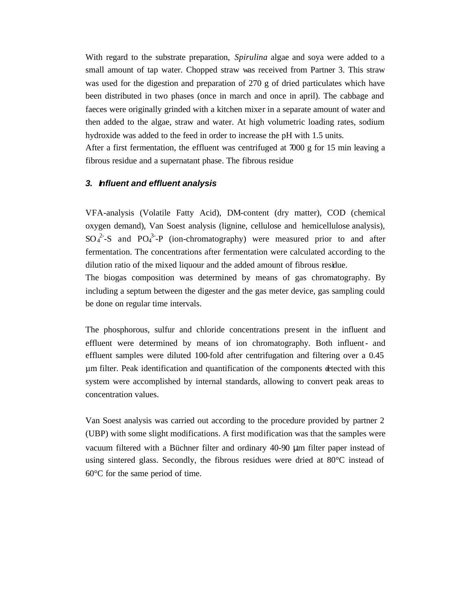With regard to the substrate preparation, *Spirulina* algae and soya were added to a small amount of tap water. Chopped straw was received from Partner 3. This straw was used for the digestion and preparation of 270 g of dried particulates which have been distributed in two phases (once in march and once in april). The cabbage and faeces were originally grinded with a kitchen mixer in a separate amount of water and then added to the algae, straw and water. At high volumetric loading rates, sodium hydroxide was added to the feed in order to increase the pH with 1.5 units. After a first fermentation, the effluent was centrifuged at 7000 g for 15 min leaving a fibrous residue and a supernatant phase. The fibrous residue

#### *3. Influent and effluent analysis*

VFA-analysis (Volatile Fatty Acid), DM-content (dry matter), COD (chemical oxygen demand), Van Soest analysis (lignine, cellulose and hemicellulose analysis),  $SO_4^2$ -S and PO<sub>4</sub><sup>3</sup>-P (ion-chromatography) were measured prior to and after fermentation. The concentrations after fermentation were calculated according to the dilution ratio of the mixed liquour and the added amount of fibrous residue.

The biogas composition was determined by means of gas chromatography. By including a septum between the digester and the gas meter device, gas sampling could be done on regular time intervals.

The phosphorous, sulfur and chloride concentrations present in the influent and effluent were determined by means of ion chromatography. Both influent- and effluent samples were diluted 100-fold after centrifugation and filtering over a 0.45 µm filter. Peak identification and quantification of the components detected with this system were accomplished by internal standards, allowing to convert peak areas to concentration values.

Van Soest analysis was carried out according to the procedure provided by partner 2 (UBP) with some slight modifications. A first modification was that the samples were vacuum filtered with a Büchner filter and ordinary 40-90 μm filter paper instead of using sintered glass. Secondly, the fibrous residues were dried at  $80^{\circ}$ C instead of 60°C for the same period of time.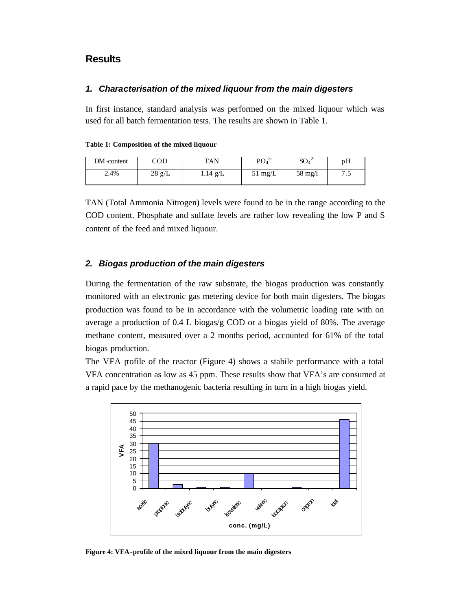# **Results**

#### *1. Characterisation of the mixed liquour from the main digesters*

In first instance, standard analysis was performed on the mixed liquour which was used for all batch fermentation tests. The results are shown in Table 1.

| Table 1: Composition of the mixed liquour |  |  |  |  |  |
|-------------------------------------------|--|--|--|--|--|
|-------------------------------------------|--|--|--|--|--|

| DM-content | COD              | <b>TAN</b> | PO <sub>4</sub>   | $SO_4^2$          | pH  |
|------------|------------------|------------|-------------------|-------------------|-----|
| 2.4%       | $28 \text{ g/L}$ | 1.14 g/L   | $51 \text{ mg/L}$ | $58 \text{ mg/l}$ | ن ، |

TAN (Total Ammonia Nitrogen) levels were found to be in the range according to the COD content. Phosphate and sulfate levels are rather low revealing the low P and S content of the feed and mixed liquour.

#### *2. Biogas production of the main digesters*

During the fermentation of the raw substrate, the biogas production was constantly monitored with an electronic gas metering device for both main digesters. The biogas production was found to be in accordance with the volumetric loading rate with on average a production of 0.4 L biogas/g COD or a biogas yield of 80%. The average methane content, measured over a 2 months period, accounted for 61% of the total biogas production.

The VFA profile of the reactor (Figure 4) shows a stabile performance with a total VFA concentration as low as 45 ppm. These results show that VFA's are consumed at a rapid pace by the methanogenic bacteria resulting in turn in a high biogas yield.



**Figure 4: VFA-profile of the mixed liquour from the main digesters**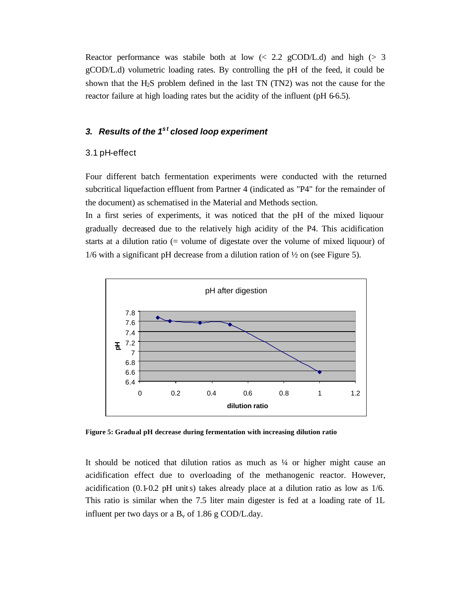Reactor performance was stabile both at low  $\left($   $\leq$  2.2 gCOD/L.d) and high  $\left($   $\right)$  3 gCOD/L.d) volumetric loading rates. By controlling the pH of the feed, it could be shown that the H2S problem defined in the last TN (TN2) was not the cause for the reactor failure at high loading rates but the acidity of the influent (pH 6-6.5).

# *3. Results of the 1st closed loop experiment*

#### 3.1 pH-effect

Four different batch fermentation experiments were conducted with the returned subcritical liquefaction effluent from Partner 4 (indicated as "P4" for the remainder of the document) as schematised in the Material and Methods section.

In a first series of experiments, it was noticed that the pH of the mixed liquour gradually decreased due to the relatively high acidity of the P4. This acidification starts at a dilution ratio (= volume of digestate over the volume of mixed liquour) of 1/6 with a significant pH decrease from a dilution ration of  $\frac{1}{2}$  on (see Figure 5).



**Figure 5: Gradual pH decrease during fermentation with increasing dilution ratio**

It should be noticed that dilution ratios as much as  $\frac{1}{4}$  or higher might cause an acidification effect due to overloading of the methanogenic reactor. However, acidification  $(0.1-0.2 \text{ pH units})$  takes already place at a dilution ratio as low as  $1/6$ . This ratio is similar when the 7.5 liter main digester is fed at a loading rate of 1L influent per two days or a  $B_v$  of 1.86 g COD/L.day.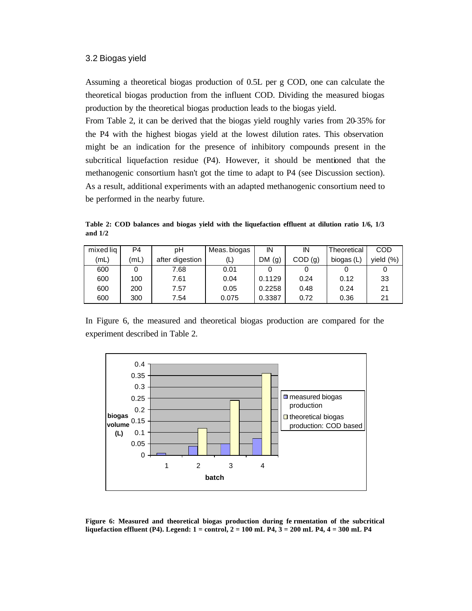#### 3.2 Biogas yield

Assuming a theoretical biogas production of 0.5L per g COD, one can calculate the theoretical biogas production from the influent COD. Dividing the measured biogas production by the theoretical biogas production leads to the biogas yield.

From Table 2, it can be derived that the biogas yield roughly varies from 20-35% for the P4 with the highest biogas yield at the lowest dilution rates. This observation might be an indication for the presence of inhibitory compounds present in the subcritical liquefaction residue (P4). However, it should be mentioned that the methanogenic consortium hasn't got the time to adapt to P4 (see Discussion section). As a result, additional experiments with an adapted methanogenic consortium need to be performed in the nearby future.

**Table 2: COD balances and biogas yield with the liquefaction effluent at dilution ratio 1/6, 1/3 and 1/2**

| mixed lig | P4   | рH              | Meas. biogas | ΙN        | ΙN      | Theoretical | COD         |
|-----------|------|-----------------|--------------|-----------|---------|-------------|-------------|
| (mL)      | (mL) | after digestion | (L)          | DM<br>(g) | COD (g) | biogas (L)  | vield $(%)$ |
| 600       |      | 7.68            | 0.01         |           |         |             |             |
| 600       | 100  | 7.61            | 0.04         | 0.1129    | 0.24    | 0.12        | 33          |
| 600       | 200  | 7.57            | 0.05         | 0.2258    | 0.48    | 0.24        | 21          |
| 600       | 300  | 7.54            | 0.075        | 0.3387    | 0.72    | 0.36        | 21          |

In Figure 6, the measured and theoretical biogas production are compared for the experiment described in Table 2.



**Figure 6: Measured and theoretical biogas production during fe rmentation of the subcritical liquefaction effluent (P4). Legend: 1 = control, 2 = 100 mL P4, 3 = 200 mL P4, 4 = 300 mL P4**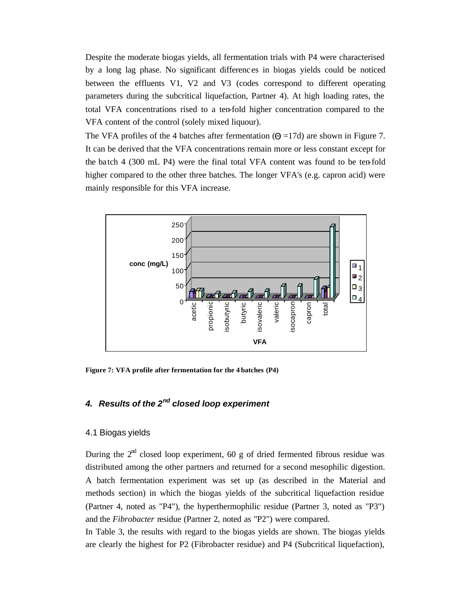Despite the moderate biogas yields, all fermentation trials with P4 were characterised by a long lag phase. No significant differenc es in biogas yields could be noticed between the effluents V1, V2 and V3 (codes correspond to different operating parameters during the subcritical liquefaction, Partner 4). At high loading rates, the total VFA concentrations rised to a ten-fold higher concentration compared to the VFA content of the control (solely mixed liquour).

The VFA profiles of the 4 batches after fermentation  $(\Theta = 17d)$  are shown in Figure 7. It can be derived that the VFA concentrations remain more or less constant except for the ba tch 4 (300 mL P4) were the final total VFA content was found to be ten-fold higher compared to the other three batches. The longer VFA's (e.g. capron acid) were mainly responsible for this VFA increase.



**Figure 7: VFA profile after fermentation for the 4 batches (P4)**

# *4. Results of the 2nd closed loop experiment*

#### 4.1 Biogas yields

During the  $2<sup>nd</sup>$  closed loop experiment, 60 g of dried fermented fibrous residue was distributed among the other partners and returned for a second mesophilic digestion. A batch fermentation experiment was set up (as described in the Material and methods section) in which the biogas yields of the subcritical liquefaction residue (Partner 4, noted as "P4"), the hyperthermophilic residue (Partner 3, noted as "P3") and the *Fibrobacter* residue (Partner 2, noted as "P2") were compared.

In Table 3, the results with regard to the biogas yields are shown. The biogas yields are clearly the highest for P2 (Fibrobacter residue) and P4 (Subcritical liquefaction),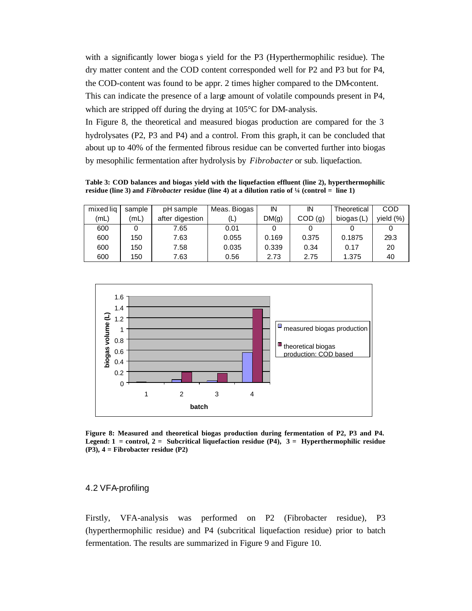with a significantly lower bioga s yield for the P3 (Hyperthermophilic residue). The dry matter content and the COD content corresponded well for P2 and P3 but for P4, the COD-content was found to be appr. 2 times higher compared to the DM-content. This can indicate the presence of a large amount of volatile compounds present in P4, which are stripped off during the drying at 105<sup>o</sup>C for DM-analysis.

In Figure 8, the theoretical and measured biogas production are compared for the 3 hydrolysates (P2, P3 and P4) and a control. From this graph, it can be concluded that about up to 40% of the fermented fibrous residue can be converted further into biogas by mesophilic fermentation after hydrolysis by *Fibrobacter* or sub. liquefaction.

**Table 3: COD balances and biogas yield with the liquefaction effluent (line 2), hyperthermophilic residue (line 3) and** *Fibrobacter* **residue (line 4) at a dilution ratio of ¼ (control = line 1)**

| mixed lig | sample | pH sample       | Meas. Biogas | IN    | ΙN     | Theoretical  | COD       |
|-----------|--------|-----------------|--------------|-------|--------|--------------|-----------|
| (mL)      | (mL)   | after digestion | (L)          | DM(g) | COD(g) | biogas $(L)$ | vield (%) |
| 600       |        | 7.65            | 0.01         |       |        |              |           |
| 600       | 150    | 7.63            | 0.055        | 0.169 | 0.375  | 0.1875       | 29.3      |
| 600       | 150    | 7.58            | 0.035        | 0.339 | 0.34   | 0.17         | 20        |
| 600       | 150    | 7.63            | 0.56         | 2.73  | 2.75   | 1.375        | 40        |



**Figure 8: Measured and theoretical biogas production during fermentation of P2, P3 and P4. Legend: 1 = control, 2 = Subcritical liquefaction residue (P4), 3 = Hyperthermophilic residue (P3), 4 = Fibrobacter residue (P2)**

### 4.2 VFA-profiling

Firstly, VFA-analysis was performed on P2 (Fibrobacter residue), P3 (hyperthermophilic residue) and P4 (subcritical liquefaction residue) prior to batch fermentation. The results are summarized in Figure 9 and Figure 10.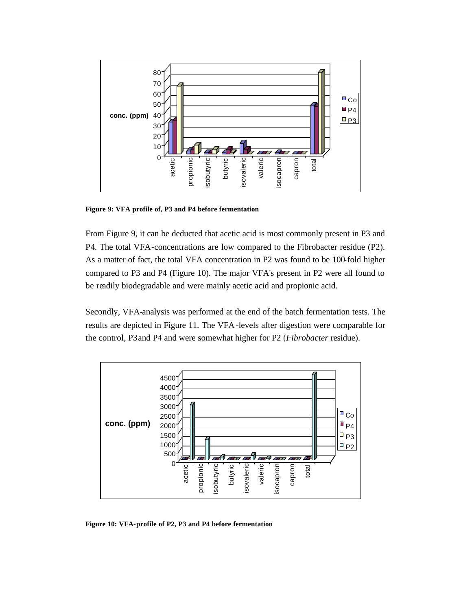

**Figure 9: VFA profile of, P3 and P4 before fermentation**

From Figure 9, it can be deducted that acetic acid is most commonly present in P3 and P4. The total VFA-concentrations are low compared to the Fibrobacter residue (P2). As a matter of fact, the total VFA concentration in P2 was found to be 100-fold higher compared to P3 and P4 (Figure 10). The major VFA's present in P2 were all found to be readily biodegradable and were mainly acetic acid and propionic acid.

Secondly, VFA-analysis was performed at the end of the batch fermentation tests. The results are depicted in Figure 11. The VFA-levels after digestion were comparable for the control, P3 and P4 and were somewhat higher for P2 (*Fibrobacter* residue).



**Figure 10: VFA-profile of P2, P3 and P4 before fermentation**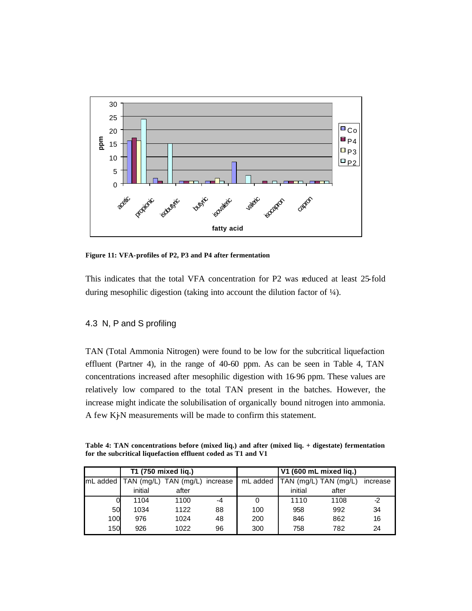

**Figure 11: VFA-profiles of P2, P3 and P4 after fermentation**

This indicates that the total VFA concentration for P2 was reduced at least 25-fold during mesophilic digestion (taking into account the dilution factor of ¼).

# 4.3 N, P and S profiling

TAN (Total Ammonia Nitrogen) were found to be low for the subcritical liquefaction effluent (Partner 4), in the range of 40-60 ppm. As can be seen in Table 4, TAN concentrations increased after mesophilic digestion with 16-96 ppm. These values are relatively low compared to the total TAN present in the batches. However, the increase might indicate the solubilisation of organically bound nitrogen into ammonia. A few Kj-N measurements will be made to confirm this statement.

**Table 4: TAN concentrations before (mixed liq.) and after (mixed liq. + digestate) fermentation for the subcritical liquefaction effluent coded as T1 and V1**

|     | T1 (750 mixed lig.)                       |       |      |          |         | V1 (600 mL mixed liq.) |          |
|-----|-------------------------------------------|-------|------|----------|---------|------------------------|----------|
|     | mL added   TAN (mg/L) TAN (mg/L) increase |       |      | mL added |         | TAN (mg/L) TAN (mg/L)  | increase |
|     | initial                                   | after |      |          | initial | after                  |          |
|     | 1104                                      | 1100  | $-4$ |          | 1110    | 1108                   | $-2$     |
| 50  | 1034                                      | 1122  | 88   | 100      | 958     | 992                    | 34       |
| 100 | 976                                       | 1024  | 48   | 200      | 846     | 862                    | 16       |
| 150 | 926                                       | 1022  | 96   | 300      | 758     | 782                    | 24       |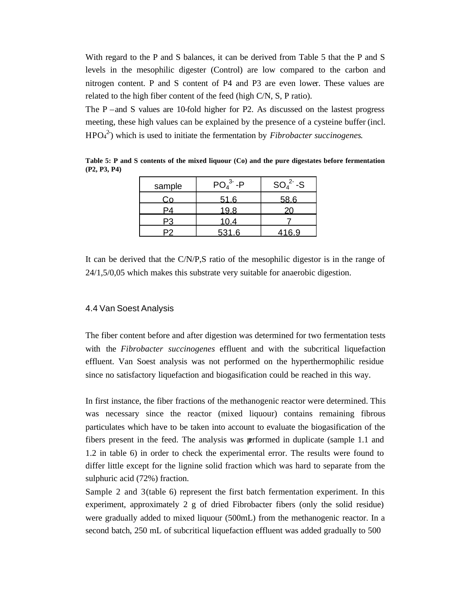With regard to the P and S balances, it can be derived from Table 5 that the P and S levels in the mesophilic digester (Control) are low compared to the carbon and nitrogen content. P and S content of P4 and P3 are even lower. These values are related to the high fiber content of the feed (high C/N, S, P ratio).

The P –and S values are 10-fold higher for P2. As discussed on the lastest progress meeting, these high values can be explained by the presence of a cysteine buffer (incl. HPO<sup>4</sup> 2- ) which is used to initiate the fermentation by *Fibrobacter succinogenes*.

| sample | $PO43 - P$ | $SO_4^2-S$ |
|--------|------------|------------|
| Co     | 51.6       | 58.6       |
|        | 19.8       | 20         |
| Р3     | 10.4       |            |
|        | 531.6      | 416.9      |

**Table 5: P and S contents of the mixed liquour (Co) and the pure digestates before fermentation (P2, P3, P4)**

It can be derived that the C/N/P,S ratio of the mesophilic digestor is in the range of 24/1,5/0,05 which makes this substrate very suitable for anaerobic digestion.

#### 4.4 Van Soest Analysis

The fiber content before and after digestion was determined for two fermentation tests with the *Fibrobacter succinogenes* effluent and with the subcritical liquefaction effluent. Van Soest analysis was not performed on the hyperthermophilic residue since no satisfactory liquefaction and biogasification could be reached in this way.

In first instance, the fiber fractions of the methanogenic reactor were determined. This was necessary since the reactor (mixed liquour) contains remaining fibrous particulates which have to be taken into account to evaluate the biogasification of the fibers present in the feed. The analysis was performed in duplicate (sample 1.1 and 1.2 in table 6) in order to check the experimental error. The results were found to differ little except for the lignine solid fraction which was hard to separate from the sulphuric acid (72%) fraction.

Sample 2 and 3 (table 6) represent the first batch fermentation experiment. In this experiment, approximately 2 g of dried Fibrobacter fibers (only the solid residue) were gradually added to mixed liquour (500mL) from the methanogenic reactor. In a second batch, 250 mL of subcritical liquefaction effluent was added gradually to 500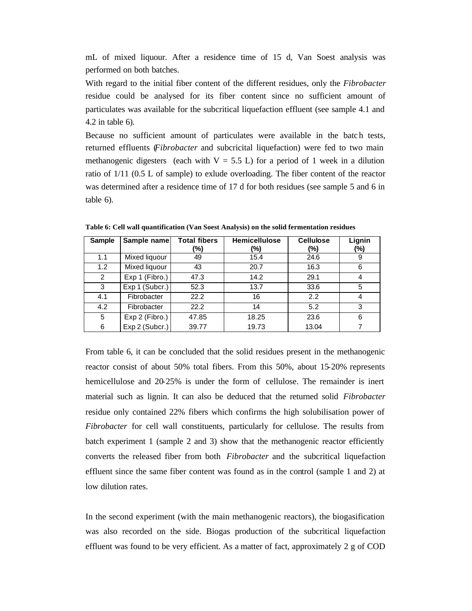mL of mixed liquour. After a residence time of 15 d, Van Soest analysis was performed on both batches.

With regard to the initial fiber content of the different residues, only the *Fibrobacter* residue could be analysed for its fiber content since no sufficient amount of particulates was available for the subcritical liquefaction effluent (see sample 4.1 and 4.2 in table 6).

Because no sufficient amount of particulates were available in the batc h tests, returned effluents (*Fibrobacter* and subcricital liquefaction) were fed to two main methanogenic digesters (each with  $V = 5.5$  L) for a period of 1 week in a dilution ratio of 1/11 (0.5 L of sample) to exlude overloading. The fiber content of the reactor was determined after a residence time of 17 d for both residues (see sample 5 and 6 in table 6).

| Sample | Sample name    | <b>Total fibers</b><br>(%) | <b>Hemicellulose</b><br>(%) | <b>Cellulose</b><br>(%) | Lignin<br>(%) |
|--------|----------------|----------------------------|-----------------------------|-------------------------|---------------|
| 1.1    | Mixed liquour  | 49                         | 15.4                        | 24.6                    | 9             |
| 1.2    | Mixed liquour  | 43                         | 20.7                        | 16.3                    | 6             |
| 2      | Exp 1 (Fibro.) | 47.3                       | 14.2                        | 29.1                    | 4             |
| 3      | Exp 1 (Subcr.) | 52.3                       | 13.7                        | 33.6                    | 5             |
| 4.1    | Fibrobacter    | 22.2                       | 16                          | 2.2                     | 4             |
| 4.2    | Fibrobacter    | 22.2                       | 14                          | 5.2                     | 3             |
| 5      | Exp 2 (Fibro.) | 47.85                      | 18.25                       | 23.6                    | 6             |
| 6      | Exp 2 (Subcr.) | 39.77                      | 19.73                       | 13.04                   |               |

**Table 6: Cell wall quantification (Van Soest Analysis) on the solid fermentation residues**

From table 6, it can be concluded that the solid residues present in the methanogenic reactor consist of about 50% total fibers. From this 50%, about 15-20% represents hemicellulose and 20-25% is under the form of cellulose. The remainder is inert material such as lignin. It can also be deduced that the returned solid *Fibrobacter*  residue only contained 22% fibers which confirms the high solubilisation power of *Fibrobacter* for cell wall constituents, particularly for cellulose. The results from batch experiment 1 (sample 2 and 3) show that the methanogenic reactor efficiently converts the released fiber from both *Fibrobacter* and the subcritical liquefaction effluent since the same fiber content was found as in the control (sample 1 and 2) at low dilution rates.

In the second experiment (with the main methanogenic reactors), the biogasification was also recorded on the side. Biogas production of the subcritical liquefaction effluent was found to be very efficient. As a matter of fact, approximately 2 g of COD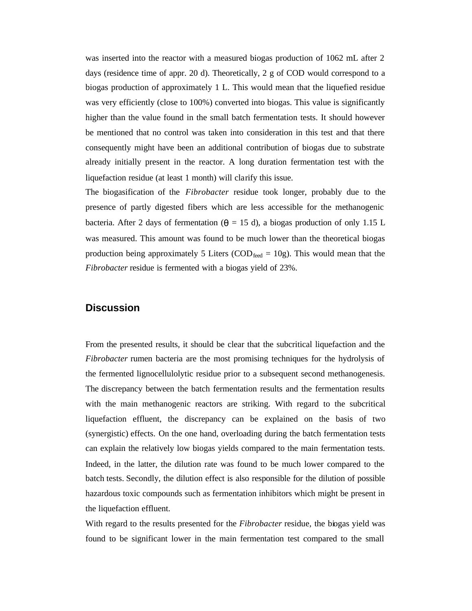was inserted into the reactor with a measured biogas production of 1062 mL after 2 days (residence time of appr. 20 d). Theoretically, 2 g of COD would correspond to a biogas production of approximately 1 L. This would mean that the liquefied residue was very efficiently (close to 100%) converted into biogas. This value is significantly higher than the value found in the small batch fermentation tests. It should however be mentioned that no control was taken into consideration in this test and that there consequently might have been an additional contribution of biogas due to substrate already initially present in the reactor. A long duration fermentation test with the liquefaction residue (at least 1 month) will clarify this issue.

The biogasification of the *Fibrobacter* residue took longer, probably due to the presence of partly digested fibers which are less accessible for the methanogenic bacteria. After 2 days of fermentation ( $\theta = 15$  d), a biogas production of only 1.15 L was measured. This amount was found to be much lower than the theoretical biogas production being approximately 5 Liters (COD<sub>feed</sub> = 10g). This would mean that the *Fibrobacter* residue is fermented with a biogas yield of 23%.

# **Discussion**

From the presented results, it should be clear that the subcritical liquefaction and the *Fibrobacter* rumen bacteria are the most promising techniques for the hydrolysis of the fermented lignocellulolytic residue prior to a subsequent second methanogenesis. The discrepancy between the batch fermentation results and the fermentation results with the main methanogenic reactors are striking. With regard to the subcritical liquefaction effluent, the discrepancy can be explained on the basis of two (synergistic) effects. On the one hand, overloading during the batch fermentation tests can explain the relatively low biogas yields compared to the main fermentation tests. Indeed, in the latter, the dilution rate was found to be much lower compared to the batch tests. Secondly, the dilution effect is also responsible for the dilution of possible hazardous toxic compounds such as fermentation inhibitors which might be present in the liquefaction effluent.

With regard to the results presented for the *Fibrobacter* residue, the biogas yield was found to be significant lower in the main fermentation test compared to the small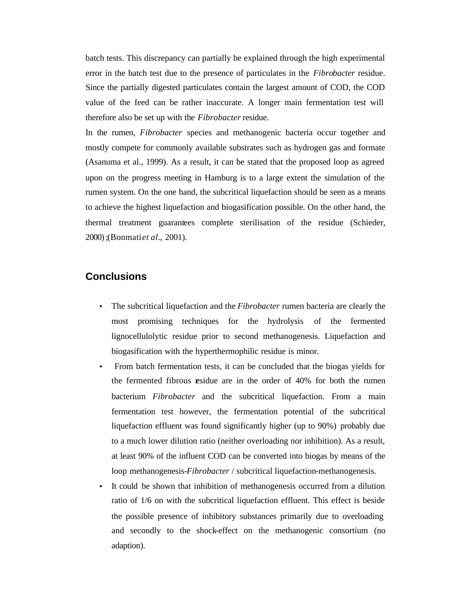batch tests. This discrepancy can partially be explained through the high experimental error in the batch test due to the presence of particulates in the *Fibrobacter* residue. Since the partially digested particulates contain the largest amount of COD, the COD value of the feed can be rather inaccurate. A longer main fermentation test will therefore also be set up with the *Fibrobacter* residue.

In the rumen, *Fibrobacter* species and methanogenic bacteria occur together and mostly compete for commonly available substrates such as hydrogen gas and formate (Asanuma et al., 1999). As a result, it can be stated that the proposed loop as agreed upon on the progress meeting in Hamburg is to a large extent the simulation of the rumen system. On the one hand, the subcritical liquefaction should be seen as a means to achieve the highest liquefaction and biogasification possible. On the other hand, the thermal treatment guarantees complete sterilisation of the residue (Schieder, 2000);(Bonmati *et al.*, 2001).

# **Conclusions**

- The subcritical liquefaction and the *Fibrobacter* rumen bacteria are clearly the most promising techniques for the hydrolysis of the fermented lignocellulolytic residue prior to second methanogenesis. Liquefaction and biogasification with the hyperthermophilic residue is minor.
- From batch fermentation tests, it can be concluded that the biogas yields for the fermented fibrous esidue are in the order of 40% for both the rumen bacterium *Fibrobacter* and the subcritical liquefaction. From a main fermentation test however, the fermentation potential of the subcritical liquefaction effluent was found significantly higher (up to 90%) probably due to a much lower dilution ratio (neither overloading nor inhibition). As a result, at least 90% of the influent COD can be converted into biogas by means of the loop methanogenesis-*Fibrobacter* / subcritical liquefaction-methanogenesis.
- It could be shown that inhibition of methanogenesis occurred from a dilution ratio of 1/6 on with the subcritical liquefaction effluent. This effect is beside the possible presence of inhibitory substances primarily due to overloading and secondly to the shock-effect on the methanogenic consortium (no adaption).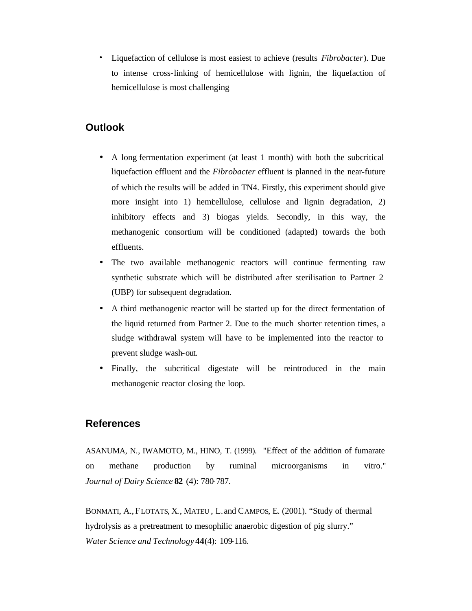• Liquefaction of cellulose is most easiest to achieve (results *Fibrobacter*). Due to intense cross-linking of hemicellulose with lignin, the liquefaction of hemicellulose is most challenging

# **Outlook**

- A long fermentation experiment (at least 1 month) with both the subcritical liquefaction effluent and the *Fibrobacter* effluent is planned in the near-future of which the results will be added in TN4. Firstly, this experiment should give more insight into 1) hemicellulose, cellulose and lignin degradation, 2) inhibitory effects and 3) biogas yields. Secondly, in this way, the methanogenic consortium will be conditioned (adapted) towards the both effluents.
- The two available methanogenic reactors will continue fermenting raw synthetic substrate which will be distributed after sterilisation to Partner 2 (UBP) for subsequent degradation.
- A third methanogenic reactor will be started up for the direct fermentation of the liquid returned from Partner 2. Due to the much shorter retention times, a sludge withdrawal system will have to be implemented into the reactor to prevent sludge wash-out.
- Finally, the subcritical digestate will be reintroduced in the main methanogenic reactor closing the loop.

# **References**

ASANUMA, N., IWAMOTO, M., HINO, T. (1999). "Effect of the addition of fumarate on methane production by ruminal microorganisms in vitro." *Journal of Dairy Science* **82** (4): 780-787.

BONMATI, A., FLOTATS, X., MATEU , L. and CAMPOS, E. (2001). "Study of thermal hydrolysis as a pretreatment to mesophilic anaerobic digestion of pig slurry." *Water Science and Technology* **44**(4): 109-116.